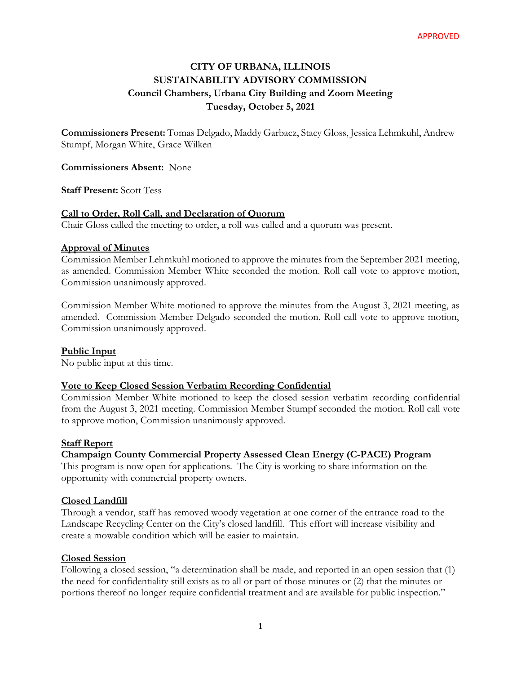# **CITY OF URBANA, ILLINOIS SUSTAINABILITY ADVISORY COMMISSION Council Chambers, Urbana City Building and Zoom Meeting Tuesday, October 5, 2021**

**Commissioners Present:** Tomas Delgado, Maddy Garbacz, Stacy Gloss, Jessica Lehmkuhl, Andrew Stumpf, Morgan White, Grace Wilken

**Commissioners Absent:** None

**Staff Present:** Scott Tess

# **Call to Order, Roll Call, and Declaration of Quorum**

Chair Gloss called the meeting to order, a roll was called and a quorum was present.

# **Approval of Minutes**

Commission Member Lehmkuhl motioned to approve the minutes from the September 2021 meeting, as amended. Commission Member White seconded the motion. Roll call vote to approve motion, Commission unanimously approved.

Commission Member White motioned to approve the minutes from the August 3, 2021 meeting, as amended. Commission Member Delgado seconded the motion. Roll call vote to approve motion, Commission unanimously approved.

# **Public Input**

No public input at this time.

# **Vote to Keep Closed Session Verbatim Recording Confidential**

Commission Member White motioned to keep the closed session verbatim recording confidential from the August 3, 2021 meeting. Commission Member Stumpf seconded the motion. Roll call vote to approve motion, Commission unanimously approved.

# **Staff Report**

# **Champaign County Commercial Property Assessed Clean Energy (C-PACE) Program**

This program is now open for applications. The City is working to share information on the opportunity with commercial property owners.

# **Closed Landfill**

Through a vendor, staff has removed woody vegetation at one corner of the entrance road to the Landscape Recycling Center on the City's closed landfill. This effort will increase visibility and create a mowable condition which will be easier to maintain.

# **Closed Session**

Following a closed session, "a determination shall be made, and reported in an open session that (1) the need for confidentiality still exists as to all or part of those minutes or (2) that the minutes or portions thereof no longer require confidential treatment and are available for public inspection."